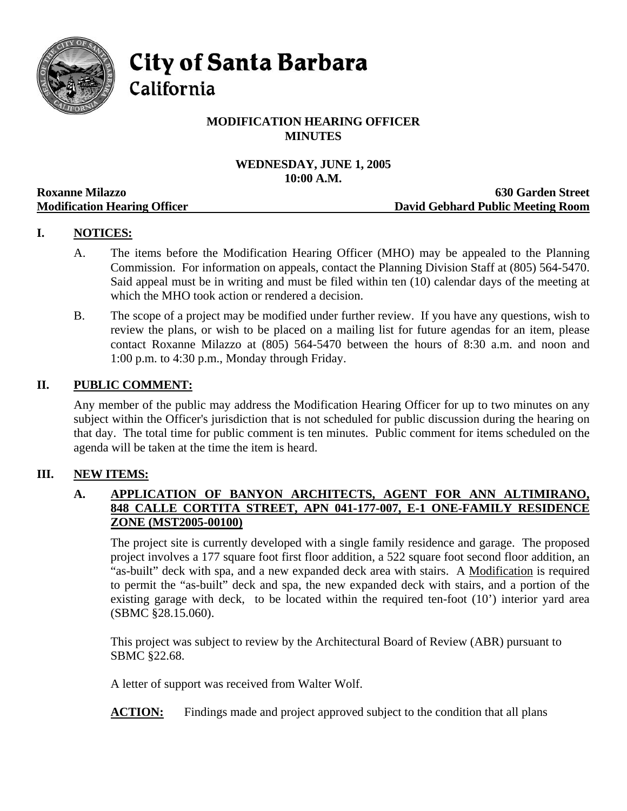

**City of Santa Barbara** 

California

## **MODIFICATION HEARING OFFICER MINUTES**

# **WEDNESDAY, JUNE 1, 2005 10:00 A.M.**

|                                     | TAMA TIMP                         |
|-------------------------------------|-----------------------------------|
| <b>Roxanne Milazzo</b>              | <b>630 Garden Street</b>          |
| <b>Modification Hearing Officer</b> | David Gebhard Public Meeting Room |

## **I. NOTICES:**

- A. The items before the Modification Hearing Officer (MHO) may be appealed to the Planning Commission. For information on appeals, contact the Planning Division Staff at (805) 564-5470. Said appeal must be in writing and must be filed within ten (10) calendar days of the meeting at which the MHO took action or rendered a decision.
- B. The scope of a project may be modified under further review. If you have any questions, wish to review the plans, or wish to be placed on a mailing list for future agendas for an item, please contact Roxanne Milazzo at (805) 564-5470 between the hours of 8:30 a.m. and noon and 1:00 p.m. to 4:30 p.m., Monday through Friday.

#### **II. PUBLIC COMMENT:**

Any member of the public may address the Modification Hearing Officer for up to two minutes on any subject within the Officer's jurisdiction that is not scheduled for public discussion during the hearing on that day. The total time for public comment is ten minutes. Public comment for items scheduled on the agenda will be taken at the time the item is heard.

#### **III. NEW ITEMS:**

#### **A. APPLICATION OF BANYON ARCHITECTS, AGENT FOR ANN ALTIMIRANO, 848 CALLE CORTITA STREET, APN 041-177-007, E-1 ONE-FAMILY RESIDENCE ZONE (MST2005-00100)**

The project site is currently developed with a single family residence and garage. The proposed project involves a 177 square foot first floor addition, a 522 square foot second floor addition, an "as-built" deck with spa, and a new expanded deck area with stairs. A Modification is required to permit the "as-built" deck and spa, the new expanded deck with stairs, and a portion of the existing garage with deck, to be located within the required ten-foot (10') interior yard area (SBMC §28.15.060).

This project was subject to review by the Architectural Board of Review (ABR) pursuant to SBMC §22.68.

A letter of support was received from Walter Wolf.

**ACTION:** Findings made and project approved subject to the condition that all plans